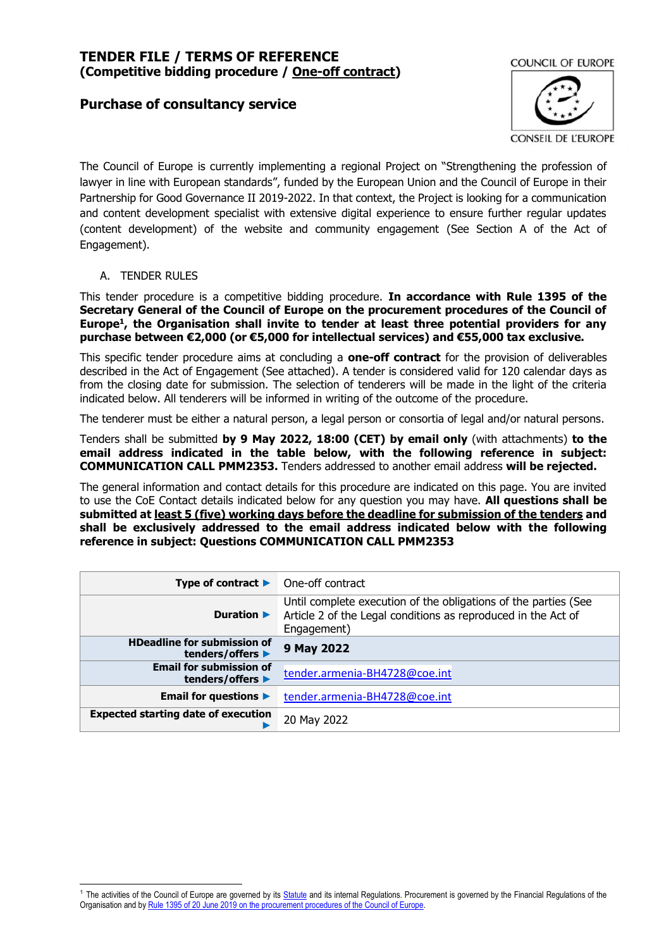# **Purchase of consultancy service**



The Council of Europe is currently implementing a regional Project on "Strengthening the profession of lawyer in line with European standards", funded by the European Union and the Council of Europe in their Partnership for Good Governance II 2019-2022. In that context, the Project is looking for a communication and content development specialist with extensive digital experience to ensure further regular updates (content development) of the website and community engagement (See Section A of the Act of Engagement).

#### A. TENDER RULES

This tender procedure is a competitive bidding procedure. **In accordance with Rule 1395 of the Secretary General of the Council of Europe on the procurement procedures of the Council of Europe<sup>1</sup> , the Organisation shall invite to tender at least three potential providers for any purchase between €2,000 (or €5,000 for intellectual services) and €55,000 tax exclusive.**

This specific tender procedure aims at concluding a **one-off contract** for the provision of deliverables described in the Act of Engagement (See attached). A tender is considered valid for 120 calendar days as from the closing date for submission. The selection of tenderers will be made in the light of the criteria indicated below. All tenderers will be informed in writing of the outcome of the procedure.

The tenderer must be either a natural person, a legal person or consortia of legal and/or natural persons.

Tenders shall be submitted **by 9 May 2022, 18:00 (CET) by email only** (with attachments) **to the email address indicated in the table below, with the following reference in subject: COMMUNICATION CALL PMM2353.** Tenders addressed to another email address **will be rejected.**

The general information and contact details for this procedure are indicated on this page. You are invited to use the CoE Contact details indicated below for any question you may have. **All questions shall be submitted at least 5 (five) working days before the deadline for submission of the tenders and shall be exclusively addressed to the email address indicated below with the following reference in subject: Questions COMMUNICATION CALL PMM2353**

| Type of contract $\blacktriangleright$                 | One-off contract                                                                                                                                |
|--------------------------------------------------------|-------------------------------------------------------------------------------------------------------------------------------------------------|
| Duration $\blacktriangleright$                         | Until complete execution of the obligations of the parties (See<br>Article 2 of the Legal conditions as reproduced in the Act of<br>Engagement) |
| <b>HDeadline for submission of</b><br>tenders/offers ▶ | 9 May 2022                                                                                                                                      |
| <b>Email for submission of</b><br>tenders/offers ▶     | tender.armenia-BH4728@coe.int                                                                                                                   |
| <b>Email for questions ▶</b>                           | tender.armenia-BH4728@coe.int                                                                                                                   |
| <b>Expected starting date of execution</b>             | 20 May 2022                                                                                                                                     |

<sup>&</sup>lt;sup>1</sup> The activities of the Council of Europe are governed by it[s Statute](https://rm.coe.int/CoERMPublicCommonSearchServices/DisplayDCTMContent?documentId=0900001680306052) and its internal Regulations. Procurement is governed by the Financial Regulations of the Organisation and by Rule 1395 of 20 June 2019 [on the procurement procedures of the Council of Europe.](https://search.coe.int/intranet/Pages/result_details.aspx?ObjectId=090000168094853e)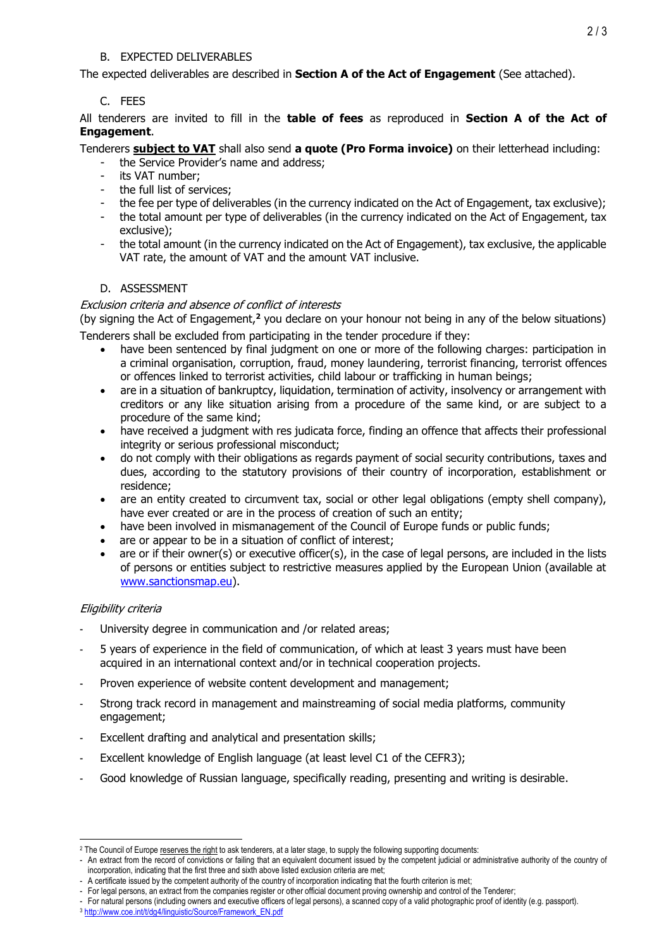#### B. EXPECTED DELIVERABLES

The expected deliverables are described in **Section A of the Act of Engagement** (See attached).

## C. FEES

All tenderers are invited to fill in the **table of fees** as reproduced in **Section A of the Act of Engagement**.

Tenderers **subject to VAT** shall also send **a quote (Pro Forma invoice)** on their letterhead including:

- the Service Provider's name and address;
- its VAT number;
- the full list of services;
- the fee per type of deliverables (in the currency indicated on the Act of Engagement, tax exclusive);
- the total amount per type of deliverables (in the currency indicated on the Act of Engagement, tax exclusive);
- the total amount (in the currency indicated on the Act of Engagement), tax exclusive, the applicable VAT rate, the amount of VAT and the amount VAT inclusive.

## D. ASSESSMENT

## Exclusion criteria and absence of conflict of interests

(by signing the Act of Engagement,**<sup>2</sup>** you declare on your honour not being in any of the below situations) Tenderers shall be excluded from participating in the tender procedure if they:

- have been sentenced by final judgment on one or more of the following charges: participation in a criminal organisation, corruption, fraud, money laundering, terrorist financing, terrorist offences or offences linked to terrorist activities, child labour or trafficking in human beings;
- are in a situation of bankruptcy, liquidation, termination of activity, insolvency or arrangement with creditors or any like situation arising from a procedure of the same kind, or are subject to a procedure of the same kind;
- have received a judgment with res judicata force, finding an offence that affects their professional integrity or serious professional misconduct;
- do not comply with their obligations as regards payment of social security contributions, taxes and dues, according to the statutory provisions of their country of incorporation, establishment or residence;
- are an entity created to circumvent tax, social or other legal obligations (empty shell company), have ever created or are in the process of creation of such an entity;
- have been involved in mismanagement of the Council of Europe funds or public funds;
- are or appear to be in a situation of conflict of interest;
- are or if their owner(s) or executive officer(s), in the case of legal persons, are included in the lists of persons or entities subject to restrictive measures applied by the European Union (available at [www.sanctionsmap.eu\)](http://www.sanctionsmap.eu/).

## Eligibility criteria

- University degree in communication and /or related areas;
- 5 years of experience in the field of communication, of which at least 3 years must have been acquired in an international context and/or in technical cooperation projects.
- Proven experience of website content development and management;
- Strong track record in management and mainstreaming of social media platforms, community engagement;
- Excellent drafting and analytical and presentation skills;
- Excellent knowledge of English language (at least level C1 of the CEFR3);
- Good knowledge of Russian language, specifically reading, presenting and writing is desirable.

 $\overline{a}$ <sup>2</sup> The Council of Europe reserves the right to ask tenderers, at a later stage, to supply the following supporting documents:

<sup>-</sup> An extract from the record of convictions or failing that an equivalent document issued by the competent judicial or administrative authority of the country of incorporation, indicating that the first three and sixth above listed exclusion criteria are met;

<sup>-</sup> A certificate issued by the competent authority of the country of incorporation indicating that the fourth criterion is met;

<sup>-</sup> For legal persons, an extract from the companies register or other official document proving ownership and control of the Tenderer;

<sup>-</sup> For natural persons (including owners and executive officers of legal persons), a scanned copy of a valid photographic proof of identity (e.g. passport). <sup>3</sup> [http://www.coe.int/t/dg4/linguistic/Source/Framework\\_EN.pdf](http://www.coe.int/t/dg4/linguistic/Source/Framework_EN.pdf)